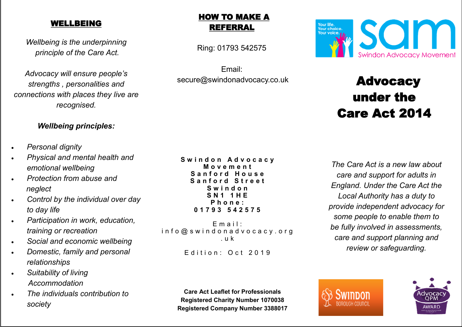### WELLBEING

*Wellbeing is the underpinning principle of the Care Act.*

*Advocacy will ensure people's strengths , personalities and connections with places they live are recognised.*

### *Wellbeing principles:*

- *Personal dignity*
- *Physical and mental health and emotional wellbeing*
- *Protection from abuse and neglect*
- *Control by the individual over day to day life*
- *Participation in work, education, training or recreation*
- *Social and economic wellbeing*
- *Domestic, family and personal relationships*
- *Suitability of living Accommodation*
- *The individuals contribution to society*

# HOW TO MAKE A REFERRAL

Ring: 01793 542575

Email: secure@swindonadvocacy.co.uk



 $E$  m a i l : in f o @ s w i n d o n a d v o c a c y . o r g . u k

Edition: Oct 2019

**Care Act Leaflet for Professionals Registered Charity Number 1070038 Registered Company Number 3388017**



# Advocacy under the Care Act 2014

*The Care Act is a new law about care and support for adults in England. Under the Care Act the Local Authority has a duty to provide independent advocacy for some people to enable them to be fully involved in assessments, care and support planning and review or safeguarding.*